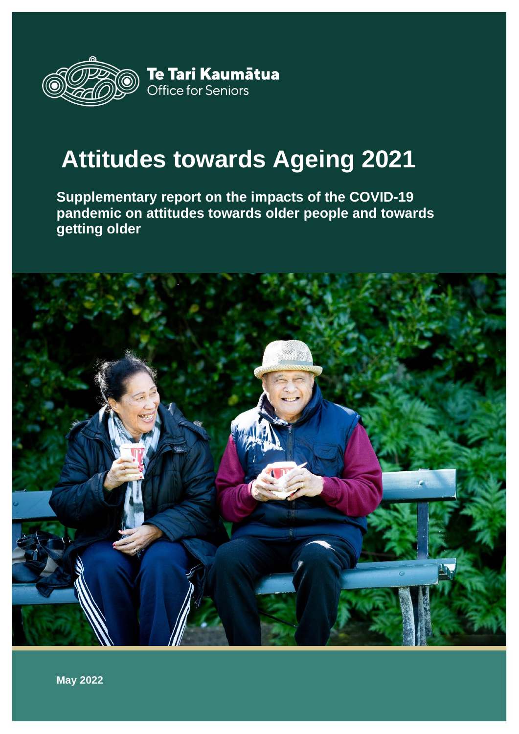

# **Attitudes towards Ageing 2021**

**Supplementary report on the impacts of the COVID-19 pandemic on attitudes towards older people and towards getting older**

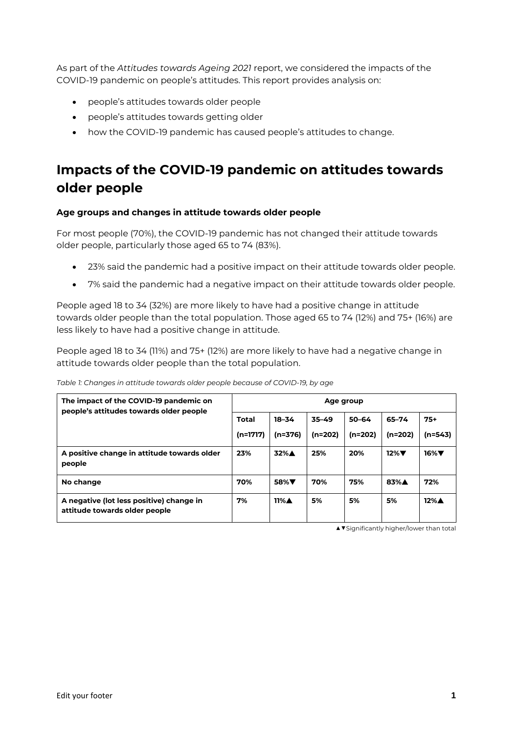As part of the *Attitudes towards Ageing 2021* report, we considered the impacts of the COVID-19 pandemic on people's attitudes. This report provides analysis on:

- people's attitudes towards older people
- people's attitudes towards getting older
- how the COVID-19 pandemic has caused people's attitudes to change.

# **Impacts of the COVID-19 pandemic on attitudes towards older people**

# **Age groups and changes in attitude towards older people**

For most people (70%), the COVID-19 pandemic has not changed their attitude towards older people, particularly those aged 65 to 74 (83%).

- 23% said the pandemic had a positive impact on their attitude towards older people.
- 7% said the pandemic had a negative impact on their attitude towards older people.

People aged 18 to 34 (32%) are more likely to have had a positive change in attitude towards older people than the total population. Those aged 65 to 74 (12%) and 75+ (16%) are less likely to have had a positive change in attitude.

People aged 18 to 34 (11%) and 75+ (12%) are more likely to have had a negative change in attitude towards older people than the total population.

| The impact of the COVID-19 pandemic on<br>people's attitudes towards older people | Age group                  |                         |                    |                        |                    |                    |  |  |
|-----------------------------------------------------------------------------------|----------------------------|-------------------------|--------------------|------------------------|--------------------|--------------------|--|--|
|                                                                                   | <b>Total</b><br>$(n=1717)$ | 18-34<br>(n=376)        | 35-49<br>$(n=202)$ | $50 - 64$<br>$(n=202)$ | 65-74<br>$(n=202)$ | $75+$<br>(n=543)   |  |  |
| A positive change in attitude towards older<br>people                             | 23%                        | 32%A                    | 25%                | 20%                    | $12\%$             | $16\%$ $\nabla$    |  |  |
| No change                                                                         | 70%                        | 58% <b>V</b>            | 70%                | 75%                    | 83%A               | 72%                |  |  |
| A negative (lot less positive) change in<br>attitude towards older people         | 7%                         | $11\%$ $\blacktriangle$ | 5%                 | 5%                     | 5%                 | $12\%$ $\triangle$ |  |  |

*Table 1: Changes in attitude towards older people because of COVID-19, by age*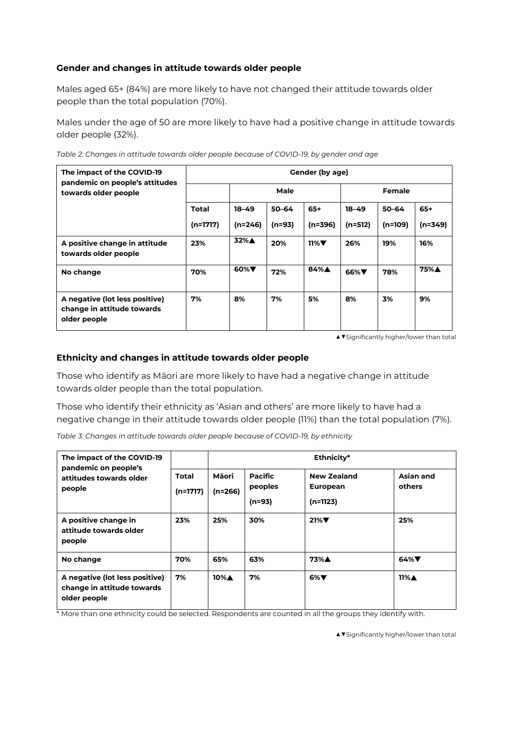### **Gender and changes in attitude towards older people**

Males aged 65+ (84%) are more likely to have not changed their attitude towards older people than the total population (70%).

Males under the age of 50 are more likely to have had a positive change in attitude towards older people (32%).

| Table 2: Changes in attitude towards older people because of COVID-19, by gender and age |  |  |
|------------------------------------------------------------------------------------------|--|--|
|                                                                                          |  |  |

| The impact of the COVID-19<br>pandemic on people's attitudes                 | Gender (by age) |           |           |           |               |           |           |  |  |
|------------------------------------------------------------------------------|-----------------|-----------|-----------|-----------|---------------|-----------|-----------|--|--|
| towards older people                                                         |                 |           | Male      |           | <b>Female</b> |           |           |  |  |
|                                                                              | <b>Total</b>    | $18 - 49$ | $50 - 64$ | $65+$     | $18 - 49$     | $50 - 64$ | $65+$     |  |  |
|                                                                              | $(n=1717)$      | $(n=246)$ | $(n=93)$  | $(n=396)$ | $(n=512)$     | $(n=109)$ | $(n=349)$ |  |  |
| A positive change in attitude<br>towards older people                        | 23%             | 32%A      | 20%       | $11\%$    | 26%           | 19%       | 16%       |  |  |
| No change                                                                    | 70%             | $60\%$    | 72%       | 84%A      | $66\%$        | 78%       | 75%A      |  |  |
| A negative (lot less positive)<br>change in attitude towards<br>older people | 7%              | 8%        | 7%        | 5%        | 8%            | 3%        | 9%        |  |  |

*▲▼*Significantly higher/lower than total

#### **Ethnicity and changes in attitude towards older people**

Those who identify as Māori are more likely to have had a negative change in attitude towards older people than the total population.

Those who identify their ethnicity as 'Asian and others' are more likely to have had a negative change in their attitude towards older people (11%) than the total population (7%).

*Table 3: Changes in attitude towards older people because of COVID-19, by ethnicity*

| The impact of the COVID-19<br>pandemic on people's                           |                            |                         |                                       | Ethnicity*                                          |                         |
|------------------------------------------------------------------------------|----------------------------|-------------------------|---------------------------------------|-----------------------------------------------------|-------------------------|
| attitudes towards older<br>people                                            | <b>Total</b><br>$(n=1717)$ | Māori<br>$(n=266)$      | <b>Pacific</b><br>peoples<br>$(n=93)$ | <b>New Zealand</b><br><b>European</b><br>$(n=1123)$ | Asian and<br>others     |
| A positive change in<br>attitude towards older<br>people                     | 23%                        | 25%                     | 30%                                   | $21\%$                                              | 25%                     |
| No change                                                                    | 70%                        | 65%                     | 63%                                   | 73%A                                                | 64% $\nabla$            |
| A negative (lot less positive)<br>change in attitude towards<br>older people | 7%                         | $10\%$ $\blacktriangle$ | 7%                                    | $6\%$                                               | $11\%$ $\blacktriangle$ |

\* More than one ethnicity could be selected. Respondents are counted in all the groups they identify with.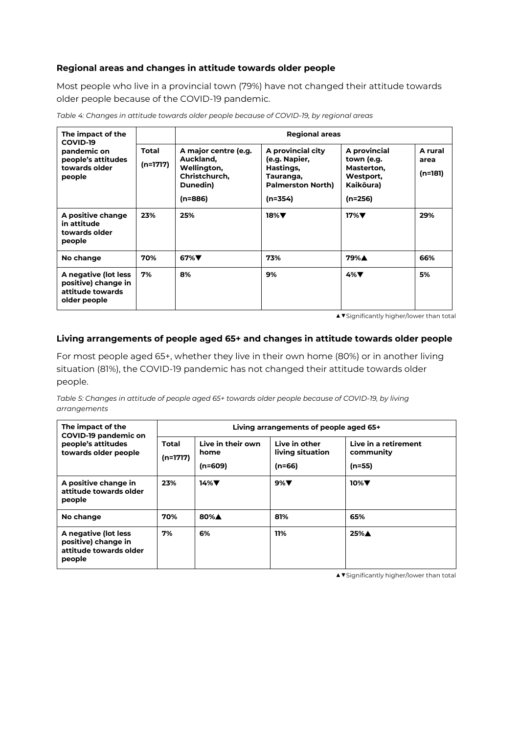#### **Regional areas and changes in attitude towards older people**

Most people who live in a provincial town (79%) have not changed their attitude towards older people because of the COVID-19 pandemic.

| The impact of the<br>COVID-19                                                   |                          |                                                                                            | <b>Regional areas</b>                                                                                 |                                                                                 |                            |
|---------------------------------------------------------------------------------|--------------------------|--------------------------------------------------------------------------------------------|-------------------------------------------------------------------------------------------------------|---------------------------------------------------------------------------------|----------------------------|
| pandemic on<br>people's attitudes<br>towards older<br>people                    | <b>Total</b><br>(n=1717) | A major centre (e.g.<br>Auckland,<br>Wellington,<br>Christchurch,<br>Dunedin)<br>$(n=886)$ | A provincial city<br>(e.g. Napier,<br>Hastings,<br>Tauranga,<br><b>Palmerston North)</b><br>$(n=354)$ | A provincial<br>town (e.g.<br>Masterton,<br>Westport,<br>Kaikōura)<br>$(n=256)$ | A rural<br>area<br>(n=181) |
| A positive change<br>in attitude<br>towards older<br>people                     | 23%                      | 25%                                                                                        | $18\%$                                                                                                | $17\%$                                                                          | 29%                        |
| No change                                                                       | 70%                      | $67\%$                                                                                     | 73%                                                                                                   | 79%A                                                                            | 66%                        |
| A negative (lot less<br>positive) change in<br>attitude towards<br>older people | 7%                       | 8%                                                                                         | 9%                                                                                                    | $4\%$                                                                           | 5%                         |

*Table 4: Changes in attitude towards older people because of COVID-19, by regional areas*

*▲▼*Significantly higher/lower than total

#### **Living arrangements of people aged 65+ and changes in attitude towards older people**

For most people aged 65+, whether they live in their own home (80%) or in another living situation (81%), the COVID-19 pandemic has not changed their attitude towards older people.

*Table 5: Changes in attitude of people aged 65+ towards older people because of COVID-19, by living arrangements*

| The impact of the<br>COVID-19 pandemic on                                       |                            |                                        | Living arrangements of people aged 65+        |                                               |
|---------------------------------------------------------------------------------|----------------------------|----------------------------------------|-----------------------------------------------|-----------------------------------------------|
| people's attitudes<br>towards older people                                      | <b>Total</b><br>$(n=1717)$ | Live in their own<br>home<br>$(n=609)$ | Live in other<br>living situation<br>$(n=66)$ | Live in a retirement<br>community<br>$(n=55)$ |
| A positive change in<br>23%<br>attitude towards older<br>people                 |                            | $14\%$                                 | $9\%$                                         | $10\%$                                        |
| No change                                                                       | 70%                        | 80%A                                   | 81%                                           | 65%                                           |
| A negative (lot less<br>positive) change in<br>attitude towards older<br>people | 7%                         | 6%                                     | 11%                                           | 25%A                                          |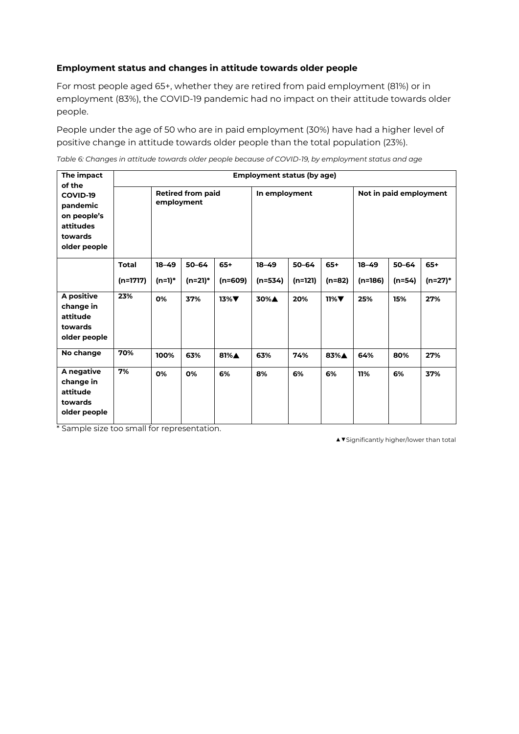### **Employment status and changes in attitude towards older people**

For most people aged 65+, whether they are retired from paid employment (81%) or in employment (83%), the COVID-19 pandemic had no impact on their attitude towards older people.

People under the age of 50 who are in paid employment (30%) have had a higher level of positive change in attitude towards older people than the total population (23%).

*Table 6: Changes in attitude towards older people because of COVID-19, by employment status and age*

| The impact<br>of the                                                        |                                        |           |           |                 | <b>Employment status (by age)</b> |           |                        |           |           |         |
|-----------------------------------------------------------------------------|----------------------------------------|-----------|-----------|-----------------|-----------------------------------|-----------|------------------------|-----------|-----------|---------|
| COVID-19<br>pandemic<br>on people's<br>attitudes<br>towards<br>older people | <b>Retired from paid</b><br>employment |           |           | In employment   |                                   |           | Not in paid employment |           |           |         |
|                                                                             | <b>Total</b>                           | $18 - 49$ | $50 - 64$ | $65+$           | $18 - 49$                         | $50 - 64$ | $65+$                  | $18 - 49$ | $50 - 64$ | $65+$   |
|                                                                             | $(n=1717)$                             | (n=1)*    | $(n=21)*$ | $(n=609)$       | $(n=534)$                         | $(n=121)$ | (n=82)                 | $(n=186)$ | $(n=54)$  | (n=27)* |
| A positive<br>change in<br>attitude<br>towards<br>older people              | 23%                                    | 0%        | 37%       | $13\%$ $\nabla$ | 30%A                              | 20%       | $11\%$                 | 25%       | 15%       | 27%     |
| No change                                                                   | 70%                                    | 100%      | 63%       | 81%A            | 63%                               | 74%       | 83%A                   | 64%       | 80%       | 27%     |
| A negative<br>change in<br>attitude<br>towards<br>older people              | 7%                                     | 0%        | 0%        | 6%              | 8%                                | 6%        | 6%                     | 11%       | 6%        | 37%     |

\* Sample size too small for representation.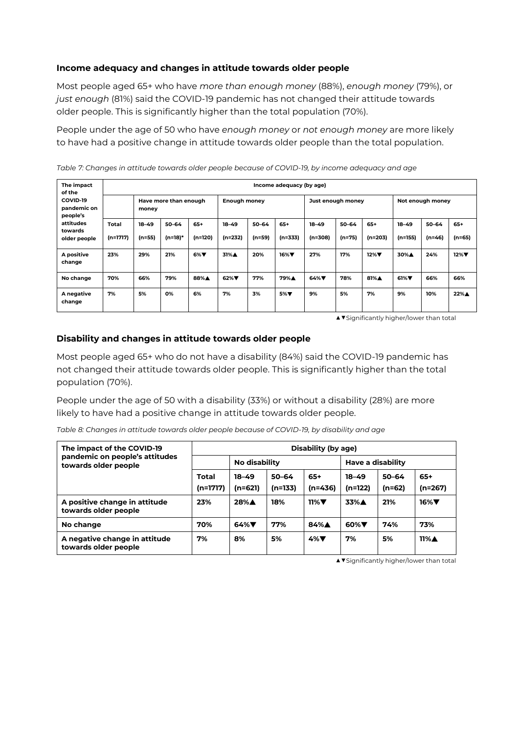### **Income adequacy and changes in attitude towards older people**

Most people aged 65+ who have *more than enough money* (88%), *enough money* (79%), or *just enough* (81%) said the COVID-19 pandemic has not changed their attitude towards older people. This is significantly higher than the total population (70%).

People under the age of 50 who have *enough money* or *not enough money* are more likely to have had a positive change in attitude towards older people than the total population.

*Table 7: Changes in attitude towards older people because of COVID-19, by income adequacy and age*

| The impact<br>of the                 | Income adequacy (by age)   |                                |                         |                    |                        |                       |                    |                      |                       |                  |                        |                       |                   |
|--------------------------------------|----------------------------|--------------------------------|-------------------------|--------------------|------------------------|-----------------------|--------------------|----------------------|-----------------------|------------------|------------------------|-----------------------|-------------------|
| COVID-19<br>pandemic on<br>people's  |                            | Have more than enough<br>money |                         |                    | <b>Enough money</b>    |                       |                    | Just enough money    |                       |                  | Not enough money       |                       |                   |
| attitudes<br>towards<br>older people | <b>Total</b><br>$(n=1717)$ | $18 - 49$<br>$(n=55)$          | $50 - 64$<br>$(n=18)^*$ | $65+$<br>$(n=120)$ | $18 - 49$<br>$(n=232)$ | $50 - 64$<br>$(n=59)$ | $65+$<br>$(n=333)$ | $18 - 49$<br>(n=308) | $50 - 64$<br>$(n=75)$ | $65+$<br>(n=203) | $18 - 49$<br>$(n=155)$ | $50 - 64$<br>$(n=46)$ | $65+$<br>$(n=65)$ |
| A positive<br>change                 | 23%                        | 29%                            | 21%                     | $6\%$              | 31%A                   | 20%                   | $16\%$             | 27%                  | 17%                   | $12\%$           | 30%A                   | 24%                   | $12\%$            |
| No change                            | 70%                        | 66%                            | 79%                     | 88%A               | $62\%$                 | 77%                   | 79%A               | $64\%$               | 78%                   | 81%A             | $61\%$                 | 66%                   | 66%               |
| A negative<br>change                 | 7%                         | 5%                             | 0%                      | 6%                 | 7%                     | 3%                    | 5% <b>V</b>        | 9%                   | 5%                    | 7%               | 9%                     | 10%                   | 22%▲              |

*▲▼*Significantly higher/lower than total

#### **Disability and changes in attitude towards older people**

Most people aged 65+ who do not have a disability (84%) said the COVID-19 pandemic has not changed their attitude towards older people. This is significantly higher than the total population (70%).

People under the age of 50 with a disability (33%) or without a disability (28%) are more likely to have had a positive change in attitude towards older people.

| The impact of the COVID-19                             | Disability (by age)      |                      |                      |                             |                      |                     |                         |  |  |
|--------------------------------------------------------|--------------------------|----------------------|----------------------|-----------------------------|----------------------|---------------------|-------------------------|--|--|
| pandemic on people's attitudes<br>towards older people |                          | No disability        |                      |                             | Have a disability    |                     |                         |  |  |
|                                                        | <b>Total</b><br>(n=1717) | $18 - 49$<br>(n=621) | $50 - 64$<br>(n=133) | $65+$<br>(n=436)            | $18 - 49$<br>(n=122) | $50 - 64$<br>(n=62) | $65+$<br>$(n=267)$      |  |  |
| A positive change in attitude<br>towards older people  | 23%                      | 28%A                 | 18%                  | $11\%$ $\blacktriangledown$ | 33%A                 | 21%                 | $16\%$                  |  |  |
| No change                                              | 70%                      | $64\%$               | 77%                  | 84%▲                        | 60% $\nabla$         | 74%                 | 73%                     |  |  |
| A negative change in attitude<br>towards older people  | 7%                       | 8%                   | 5%                   | $4\%$ V                     | 7%                   | 5%                  | $11\%$ $\blacktriangle$ |  |  |

*Table 8: Changes in attitude towards older people because of COVID-19, by disability and age*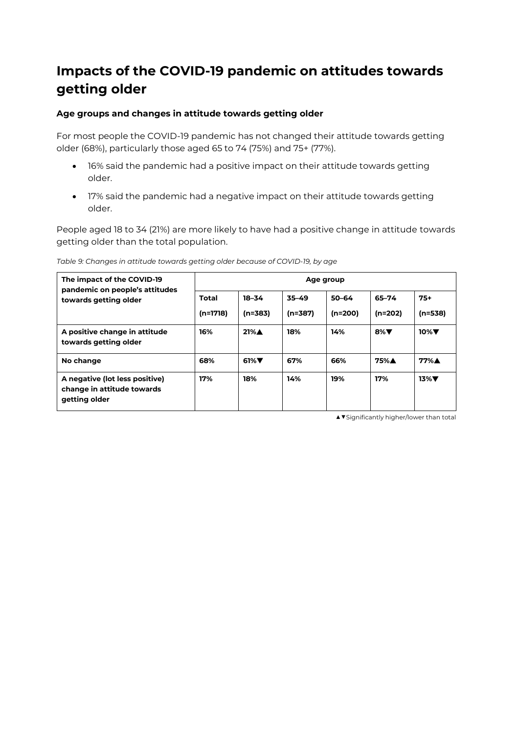# **Impacts of the COVID-19 pandemic on attitudes towards getting older**

# **Age groups and changes in attitude towards getting older**

For most people the COVID-19 pandemic has not changed their attitude towards getting older (68%), particularly those aged 65 to 74 (75%) and 75+ (77%).

- 16% said the pandemic had a positive impact on their attitude towards getting older.
- 17% said the pandemic had a negative impact on their attitude towards getting older.

People aged 18 to 34 (21%) are more likely to have had a positive change in attitude towards getting older than the total population.

| The impact of the COVID-19<br>pandemic on people's attitudes                  | Age group    |                    |           |           |           |                 |  |  |  |
|-------------------------------------------------------------------------------|--------------|--------------------|-----------|-----------|-----------|-----------------|--|--|--|
| towards getting older                                                         | <b>Total</b> | $18 - 34$          | $35 - 49$ | $50 - 64$ | 65–74     | $75+$           |  |  |  |
|                                                                               | $(n=1718)$   | $(n=383)$          | (n=387)   | (n=200)   | (n=202)   | $(n=538)$       |  |  |  |
| A positive change in attitude<br>towards getting older                        | 16%          | $21\%$ $\triangle$ | 18%       | 14%       | 8% $\Psi$ | $10\%$          |  |  |  |
| No change                                                                     | 68%          | 61% $\nabla$       | 67%       | 66%       | 75%A      | 77%A            |  |  |  |
| A negative (lot less positive)<br>change in attitude towards<br>getting older | 17%          | 18%                | 14%       | 19%       | 17%       | $13\%$ $\nabla$ |  |  |  |

*Table 9: Changes in attitude towards getting older because of COVID-19, by age*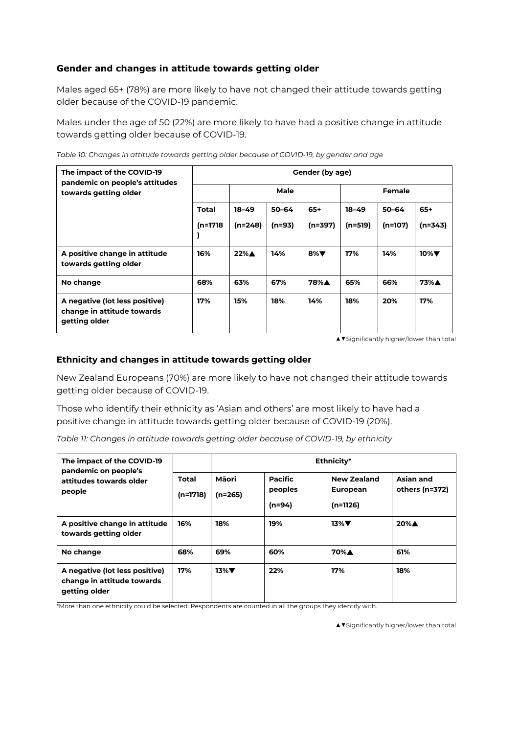# **Gender and changes in attitude towards getting older**

Males aged 65+ (78%) are more likely to have not changed their attitude towards getting older because of the COVID-19 pandemic.

Males under the age of 50 (22%) are more likely to have had a positive change in attitude towards getting older because of COVID-19.

| Table 10: Changes in attitude towards getting older because of COVID-19, by gender and age |  |  |
|--------------------------------------------------------------------------------------------|--|--|
|                                                                                            |  |  |
|                                                                                            |  |  |

| The impact of the COVID-19<br>pandemic on people's attitudes                  | Gender (by age) |                    |           |           |           |               |           |  |  |
|-------------------------------------------------------------------------------|-----------------|--------------------|-----------|-----------|-----------|---------------|-----------|--|--|
| towards getting older                                                         | Male            |                    |           |           |           | <b>Female</b> |           |  |  |
|                                                                               | <b>Total</b>    | $18 - 49$          | $50 - 64$ | $65+$     | $18 - 49$ | $50 - 64$     | $65+$     |  |  |
|                                                                               | (n=1718         | $(n=248)$          | (n=93)    | (n=397)   | $(n=519)$ | $(n=107)$     | $(n=343)$ |  |  |
| A positive change in attitude<br>towards getting older                        | 16%             | $22\%$ $\triangle$ | 14%       | 8% $\Psi$ | 17%       | 14%           | $10\%$    |  |  |
| No change                                                                     | 68%             | 63%                | 67%       | 78%A      | 65%       | 66%           | 73%A      |  |  |
| A negative (lot less positive)<br>change in attitude towards<br>getting older | 17%             | 15%                | 18%       | 14%       | 18%       | 20%           | 17%       |  |  |

*▲▼*Significantly higher/lower than total

#### **Ethnicity and changes in attitude towards getting older**

New Zealand Europeans (70%) are more likely to have not changed their attitude towards getting older because of COVID-19.

Those who identify their ethnicity as 'Asian and others' are most likely to have had a positive change in attitude towards getting older because of COVID-19 (20%).

*Table 11: Changes in attitude towards getting older because of COVID-19, by ethnicity*

| The impact of the COVID-19<br>pandemic on people's<br>attitudes towards older<br>people |                     | Ethnicity*         |                                       |                                                     |                             |  |  |  |
|-----------------------------------------------------------------------------------------|---------------------|--------------------|---------------------------------------|-----------------------------------------------------|-----------------------------|--|--|--|
|                                                                                         | Total<br>$(n=1718)$ | Māori<br>$(n=265)$ | <b>Pacific</b><br>peoples<br>$(n=94)$ | <b>New Zealand</b><br><b>European</b><br>$(n=1126)$ | Asian and<br>others (n=372) |  |  |  |
| A positive change in attitude<br>towards getting older                                  | 16%                 | 18%                | 19%                                   | $13\%$                                              | 20%A                        |  |  |  |
| No change                                                                               | 68%                 | 69%                | 60%                                   | 70%A                                                | 61%                         |  |  |  |
| A negative (lot less positive)<br>change in attitude towards<br>getting older           | 17%                 | $13\%$ $\nabla$    | 22%                                   | 17%                                                 | 18%                         |  |  |  |

\*More than one ethnicity could be selected. Respondents are counted in all the groups they identify with.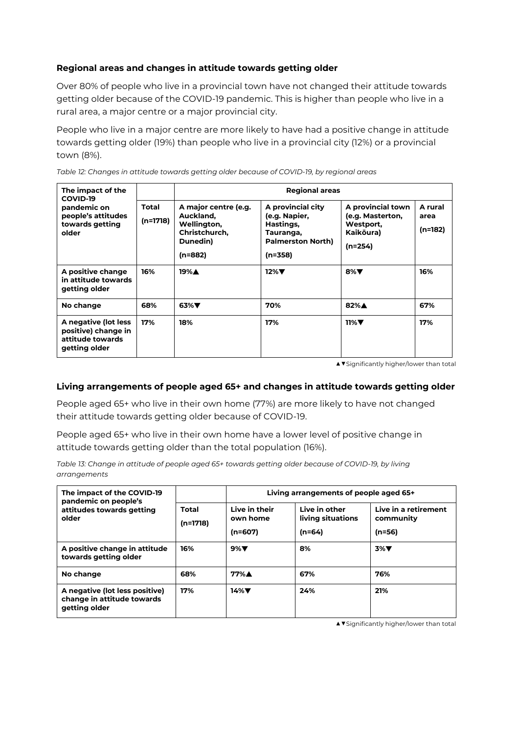### **Regional areas and changes in attitude towards getting older**

Over 80% of people who live in a provincial town have not changed their attitude towards getting older because of the COVID-19 pandemic. This is higher than people who live in a rural area, a major centre or a major provincial city.

People who live in a major centre are more likely to have had a positive change in attitude towards getting older (19%) than people who live in a provincial city (12%) or a provincial town (8%).

| The impact of the<br>COVID-19<br>pandemic on<br>people's attitudes<br>towards getting<br>older |                          | <b>Regional areas</b>                                                                    |                                                                                                       |                                                                              |                            |  |  |  |  |  |
|------------------------------------------------------------------------------------------------|--------------------------|------------------------------------------------------------------------------------------|-------------------------------------------------------------------------------------------------------|------------------------------------------------------------------------------|----------------------------|--|--|--|--|--|
|                                                                                                | <b>Total</b><br>(n=1718) | A major centre (e.g.<br>Auckland,<br>Wellington,<br>Christchurch,<br>Dunedin)<br>(n=882) | A provincial city<br>(e.g. Napier,<br>Hastings,<br>Tauranga,<br><b>Palmerston North)</b><br>$(n=358)$ | A provincial town<br>(e.g. Masterton,<br>Westport,<br>Kaikōura)<br>$(n=254)$ | A rural<br>area<br>(n=182) |  |  |  |  |  |
| A positive change<br>in attitude towards<br>getting older                                      | 16%                      | 19%▲                                                                                     | $12\%$                                                                                                | 8% $\Psi$                                                                    | 16%                        |  |  |  |  |  |
| No change                                                                                      | 68%                      | $63\%$                                                                                   | 70%                                                                                                   | 82%A                                                                         | 67%                        |  |  |  |  |  |
| A negative (lot less<br>positive) change in<br>attitude towards<br>getting older               | 17%                      | 18%                                                                                      | 17%                                                                                                   | $11\%$                                                                       | 17%                        |  |  |  |  |  |

*Table 12: Changes in attitude towards getting older because of COVID-19, by regional areas*

*▲▼*Significantly higher/lower than total

#### **Living arrangements of people aged 65+ and changes in attitude towards getting older**

People aged 65+ who live in their own home (77%) are more likely to have not changed their attitude towards getting older because of COVID-19.

People aged 65+ who live in their own home have a lower level of positive change in attitude towards getting older than the total population (16%).

*Table 13: Change in attitude of people aged 65+ towards getting older because of COVID-19, by living arrangements*

| The impact of the COVID-19<br>pandemic on people's                            |                            | Living arrangements of people aged 65+ |                                                |                                               |  |  |  |
|-------------------------------------------------------------------------------|----------------------------|----------------------------------------|------------------------------------------------|-----------------------------------------------|--|--|--|
| attitudes towards getting<br>older                                            | <b>Total</b><br>$(n=1718)$ | Live in their<br>own home<br>$(n=607)$ | Live in other<br>living situations<br>$(n=64)$ | Live in a retirement<br>community<br>$(n=56)$ |  |  |  |
| A positive change in attitude<br>towards getting older                        | 16%                        | $9\%$                                  | 8%                                             | $3\%$ $\nabla$                                |  |  |  |
| No change                                                                     | 68%                        | $77\%$ $\blacktriangle$                | 67%                                            | 76%                                           |  |  |  |
| A negative (lot less positive)<br>change in attitude towards<br>getting older | 17%                        | $14\%$                                 | 24%                                            | 21%                                           |  |  |  |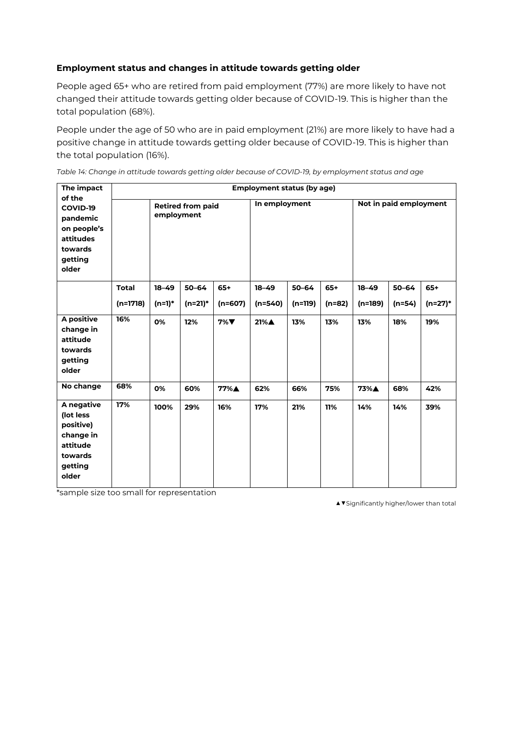# **Employment status and changes in attitude towards getting older**

People aged 65+ who are retired from paid employment (77%) are more likely to have not changed their attitude towards getting older because of COVID-19. This is higher than the total population (68%).

People under the age of 50 who are in paid employment (21%) are more likely to have had a positive change in attitude towards getting older because of COVID-19. This is higher than the total population (16%).

| The impact                                                                                   | <b>Employment status (by age)</b> |                                        |                    |           |               |           |          |                        |           |         |  |
|----------------------------------------------------------------------------------------------|-----------------------------------|----------------------------------------|--------------------|-----------|---------------|-----------|----------|------------------------|-----------|---------|--|
| of the<br>COVID-19<br>pandemic<br>on people's<br>attitudes<br>towards<br>getting<br>older    |                                   | <b>Retired from paid</b><br>employment |                    |           | In employment |           |          | Not in paid employment |           |         |  |
|                                                                                              | <b>Total</b>                      | $18 - 49$                              | $50 - 64$<br>$65+$ |           | $18 - 49$     | 50-64     | $65+$    | $18 - 49$              | $50 - 64$ | $65+$   |  |
|                                                                                              | $(n=1718)$                        | $(n=1)*$                               | (n=21)*            | $(n=607)$ | $(n=540)$     | $(n=119)$ | $(n=82)$ | $(n=189)$              | $(n=54)$  | (n=27)* |  |
| A positive<br>change in<br>attitude<br>towards<br>getting<br>older                           | 16%                               | 0%                                     | 12%                | $7\%$     | 21%▲          | 13%       | 13%      | 13%                    | 18%       | 19%     |  |
| No change                                                                                    | 68%                               | 0%                                     | 60%                | 77%A      | 62%           | 66%       | 75%      | 73%A                   | 68%       | 42%     |  |
| A negative<br>(lot less<br>positive)<br>change in<br>attitude<br>towards<br>getting<br>older | 17%                               | 100%                                   | 29%                | 16%       | 17%           | 21%       | 11%      | 14%                    | 14%       | 39%     |  |

*Table 14: Change in attitude towards getting older because of COVID-19, by employment status and age*

\*sample size too small for representation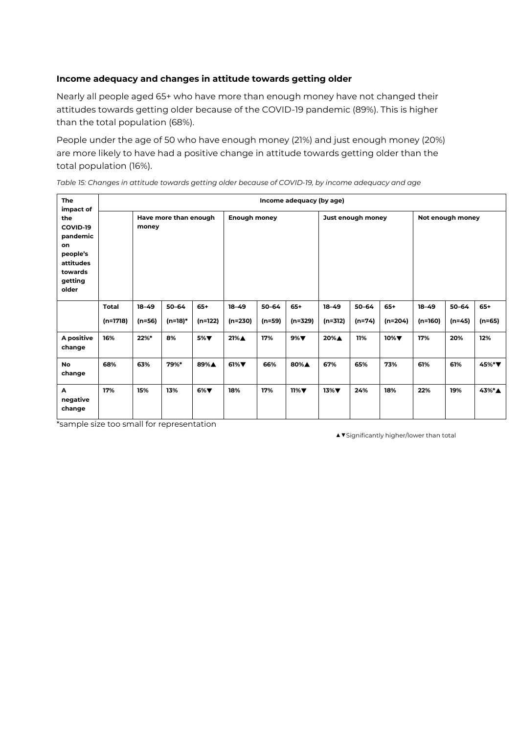#### **Income adequacy and changes in attitude towards getting older**

Nearly all people aged 65+ who have more than enough money have not changed their attitudes towards getting older because of the COVID-19 pandemic (89%). This is higher than the total population (68%).

People under the age of 50 who have enough money (21%) and just enough money (20%) are more likely to have had a positive change in attitude towards getting older than the total population (16%).

*Table 15: Changes in attitude towards getting older because of COVID-19, by income adequacy and age*

| The                                                                                                    | Income adequacy (by age) |           |                       |         |                     |           |         |           |                   |           |           |                  |          |
|--------------------------------------------------------------------------------------------------------|--------------------------|-----------|-----------------------|---------|---------------------|-----------|---------|-----------|-------------------|-----------|-----------|------------------|----------|
| impact of<br>the<br>COVID-19<br>pandemic<br>on<br>people's<br>attitudes<br>towards<br>getting<br>older |                          | money     | Have more than enough |         | <b>Enough money</b> |           |         |           | Just enough money |           |           | Not enough money |          |
|                                                                                                        | <b>Total</b>             | $18 - 49$ | $50 - 64$             | $65+$   | $18 - 49$           | $50 - 64$ | $65+$   | $18 - 49$ | $50 - 64$         | $65+$     | $18 - 49$ | $50 - 64$        | $65+$    |
|                                                                                                        | $(n=1718)$               | (n=56)    | (n=18)*               | (n=122) | (n=230)             | $(n=59)$  | (n=329) | (n=312)   | (n=74)            | $(n=204)$ | $(n=160)$ | $(n=45)$         | $(n=65)$ |
| A positive<br>change                                                                                   | 16%                      | 22%*      | 8%                    | 5%▼     | 21%▲                | 17%       | $9\%$   | 20%▲      | 11%               | $10\%$    | 17%       | 20%              | 12%      |
| <b>No</b><br>change                                                                                    | 68%                      | 63%       | 79%*                  | 89%▲    | $61\%$              | 66%       | 80%▲    | 67%       | 65%               | 73%       | 61%       | 61%              | 45%*▼    |
| A<br>negative<br>change                                                                                | 17%                      | 15%       | 13%                   | $6\%$   | 18%                 | 17%       | $11\%$  | $13\%$    | 24%               | 18%       | 22%       | 19%              | 43%*▲    |

\*sample size too small for representation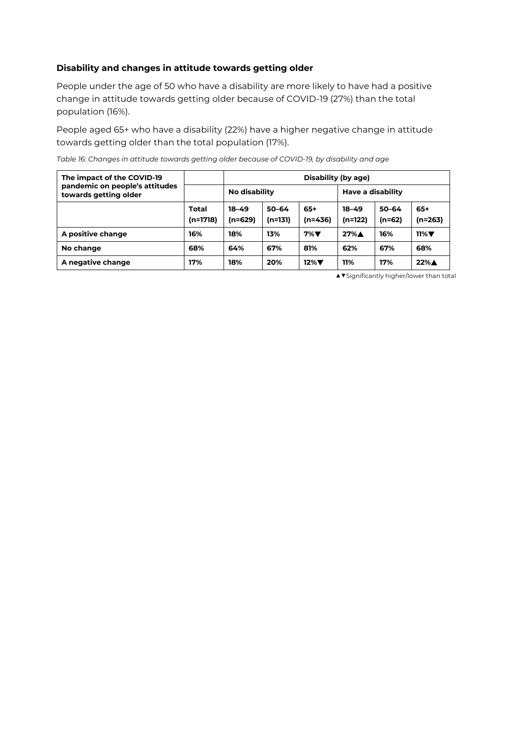### **Disability and changes in attitude towards getting older**

People under the age of 50 who have a disability are more likely to have had a positive change in attitude towards getting older because of COVID-19 (27%) than the total population (16%).

People aged 65+ who have a disability (22%) have a higher negative change in attitude towards getting older than the total population (17%).

*Table 16: Changes in attitude towards getting older because of COVID-19, by disability and age*

| The impact of the COVID-19                              |                            | Disability (by age)    |                      |                    |                      |                       |                    |  |  |
|---------------------------------------------------------|----------------------------|------------------------|----------------------|--------------------|----------------------|-----------------------|--------------------|--|--|
| pandemic on people's attitudes<br>towards getting older |                            | No disability          |                      |                    | Have a disability    |                       |                    |  |  |
|                                                         | <b>Total</b><br>$(n=1718)$ | $18 - 49$<br>$(n=629)$ | $50 - 64$<br>(n=131) | $65+$<br>$(n=436)$ | $18 - 49$<br>(n=122) | $50 - 64$<br>$(n=62)$ | $65+$<br>(n=263)   |  |  |
| A positive change                                       | 16%                        | 18%                    | 13%                  | $7\%$ V            | $27\%$ $\triangle$   | 16%                   | $11\%$             |  |  |
| No change                                               | 68%                        | 64%                    | 67%                  | 81%                | 62%                  | 67%                   | 68%                |  |  |
| A negative change                                       | 17%                        | 18%                    | 20%                  | $12\%$             | 11%                  | 17%                   | $22\%$ $\triangle$ |  |  |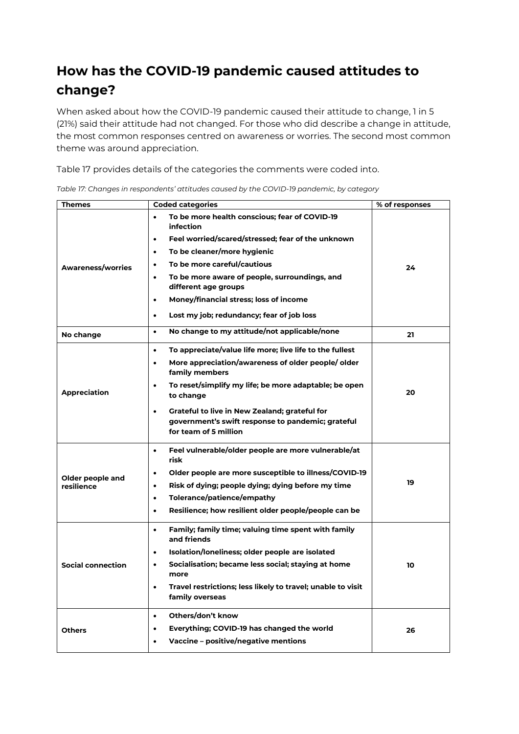# **How has the COVID-19 pandemic caused attitudes to change?**

When asked about how the COVID-19 pandemic caused their attitude to change, 1 in 5 (21%) said their attitude had not changed. For those who did describe a change in attitude, the most common responses centred on awareness or worries. The second most common theme was around appreciation.

Table 17 provides details of the categories the comments were coded into.

| Themes                   | <b>Coded categories</b>                                                                                                                   | % of responses |
|--------------------------|-------------------------------------------------------------------------------------------------------------------------------------------|----------------|
|                          | To be more health conscious; fear of COVID-19<br>$\bullet$<br>infection<br>Feel worried/scared/stressed; fear of the unknown<br>$\bullet$ |                |
|                          | To be cleaner/more hygienic<br>$\bullet$                                                                                                  |                |
| Awareness/worries        | To be more careful/cautious                                                                                                               | 24             |
|                          | To be more aware of people, surroundings, and<br>$\bullet$<br>different age groups                                                        |                |
|                          | Money/financial stress; loss of income<br>$\bullet$                                                                                       |                |
|                          | Lost my job; redundancy; fear of job loss<br>$\bullet$                                                                                    |                |
| No change                | No change to my attitude/not applicable/none<br>$\bullet$                                                                                 | 21             |
|                          | To appreciate/value life more; live life to the fullest<br>$\bullet$                                                                      |                |
|                          | More appreciation/awareness of older people/ older<br>$\bullet$<br>family members                                                         |                |
| <b>Appreciation</b>      | To reset/simplify my life; be more adaptable; be open<br>$\bullet$<br>to change                                                           | 20             |
|                          | Grateful to live in New Zealand; grateful for<br>$\bullet$<br>government's swift response to pandemic; grateful<br>for team of 5 million  |                |
|                          | Feel vulnerable/older people are more vulnerable/at<br>$\bullet$<br>risk                                                                  |                |
| Older people and         | Older people are more susceptible to illness/COVID-19                                                                                     |                |
| resilience               | Risk of dying; people dying; dying before my time                                                                                         | 19             |
|                          | Tolerance/patience/empathy<br>$\bullet$                                                                                                   |                |
|                          | Resilience; how resilient older people/people can be<br>$\bullet$                                                                         |                |
|                          | Family; family time; valuing time spent with family<br>$\bullet$<br>and friends                                                           |                |
|                          | Isolation/loneliness; older people are isolated<br>$\bullet$                                                                              |                |
| <b>Social connection</b> | Socialisation; became less social; staying at home<br>$\bullet$<br>more                                                                   | 10             |
|                          | Travel restrictions; less likely to travel; unable to visit<br>$\bullet$<br>family overseas                                               |                |
|                          | Others/don't know<br>$\bullet$                                                                                                            |                |
| <b>Others</b>            | Everything; COVID-19 has changed the world<br>$\bullet$                                                                                   | 26             |
|                          | Vaccine - positive/negative mentions                                                                                                      |                |

*Table 17: Changes in respondents' attitudes caused by the COVID-19 pandemic, by category*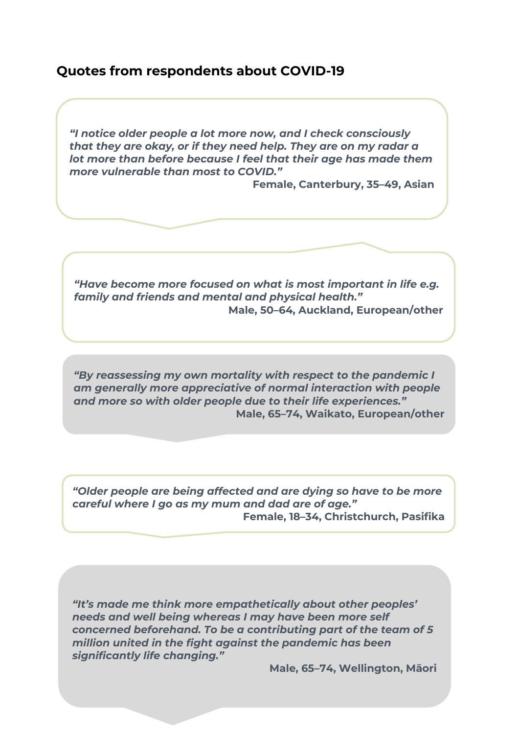# **Quotes from respondents about COVID-19**

*"I notice older people a lot more now, and I check consciously that they are okay, or if they need help. They are on my radar a lot more than before because I feel that their age has made them more vulnerable than most to COVID."* 

**Female, Canterbury, 35–49, Asian**

*"Have become more focused on what is most important in life e.g. family and friends and mental and physical health."*  **Male, 50–64, Auckland, European/other**

*"By reassessing my own mortality with respect to the pandemic I am generally more appreciative of normal interaction with people and more so with older people due to their life experiences."*  **Male, 65–74, Waikato, European/other**

*"Older people are being affected and are dying so have to be more careful where I go as my mum and dad are of age."*  **Female, 18–34, Christchurch, Pasifika**

*"It's made me think more empathetically about other peoples' needs and well being whereas I may have been more self concerned beforehand. To be a contributing part of the team of 5 million united in the fight against the pandemic has been significantly life changing."* 

**Male, 65–74, Wellington, Māori**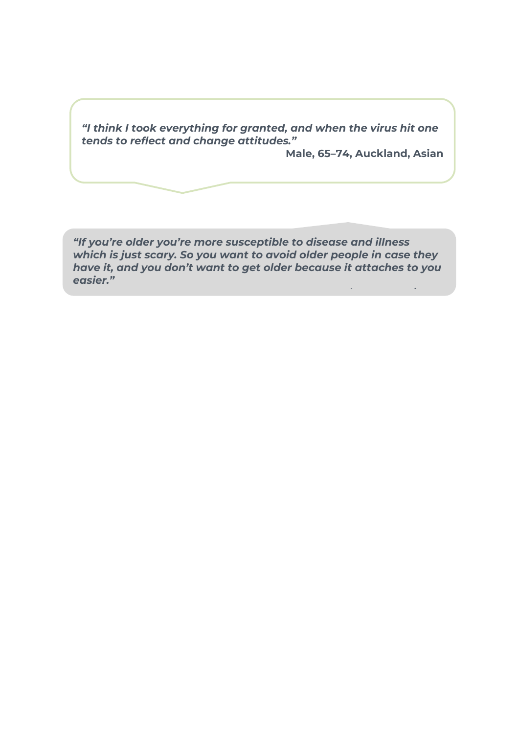*"I think I took everything for granted, and when the virus hit one tends to reflect and change attitudes."* 

**Male, 65–74, Auckland, Asian**

*"If you're older you're more susceptible to disease and illness which is just scary. So you want to avoid older people in case they have it, and you don't want to get older because it attaches to you easier."*